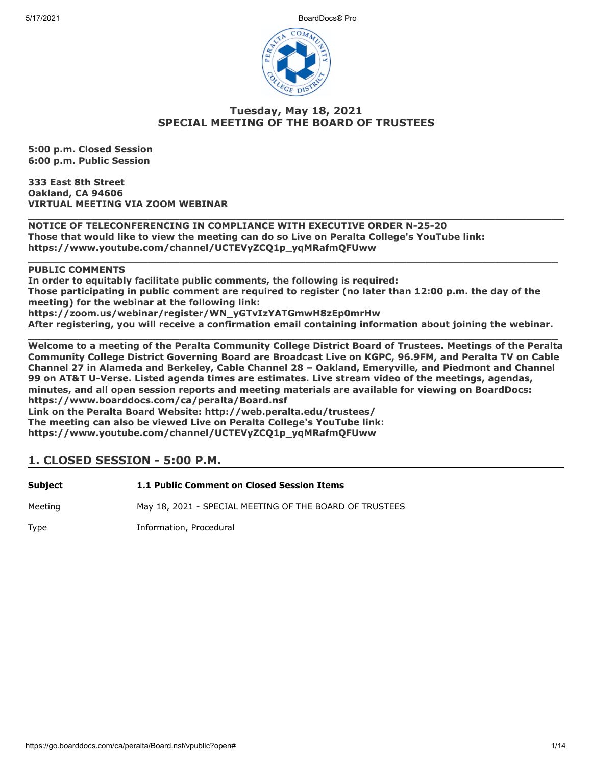5/17/2021 BoardDocs® Pro



### **Tuesday, May 18, 2021 SPECIAL MEETING OF THE BOARD OF TRUSTEES**

**\_\_\_\_\_\_\_\_\_\_\_\_\_\_\_\_\_\_\_\_\_\_\_\_\_\_\_\_\_\_\_\_\_\_\_\_\_\_\_\_\_\_\_\_\_\_\_\_\_\_\_\_\_\_\_\_\_\_\_\_\_\_\_\_\_\_\_\_\_\_\_\_\_\_\_\_\_\_\_\_\_\_\_\_\_**

**\_\_\_\_\_\_\_\_\_\_\_\_\_\_\_\_\_\_\_\_\_\_\_\_\_\_\_\_\_\_\_\_\_\_\_\_\_\_\_\_\_\_\_\_\_\_\_\_\_\_\_\_\_\_\_\_\_\_\_\_\_\_\_\_\_\_\_\_\_\_\_\_\_\_\_\_\_\_\_\_\_\_\_\_**

**5:00 p.m. Closed Session 6:00 p.m. Public Session**

**333 East 8th Street Oakland, CA 94606 VIRTUAL MEETING VIA ZOOM WEBINAR**

**NOTICE OF TELECONFERENCING IN COMPLIANCE WITH EXECUTIVE ORDER N-25-20 Those that would like to view the meeting can do so Live on Peralta College's YouTube link: https://www.youtube.com/channel/UCTEVyZCQ1p\_yqMRafmQFUww** 

### **PUBLIC COMMENTS**

**In order to equitably facilitate public comments, the following is required: Those participating in public comment are required to register (no later than 12:00 p.m. the day of the meeting) for the webinar at the following link: https://zoom.us/webinar/register/WN\_yGTvIzYATGmwH8zEp0mrHw**

**After registering, you will receive a confirmation email containing information about joining the webinar.**

**\_\_\_\_\_\_\_\_\_\_\_\_\_\_\_\_\_\_\_\_\_\_\_\_\_\_\_\_\_\_\_\_\_\_\_\_\_\_\_\_\_\_\_\_\_\_\_\_\_\_\_\_\_\_\_\_\_\_\_\_\_\_\_\_\_\_\_\_\_\_\_\_\_\_\_\_\_\_\_\_\_\_\_\_ Welcome to a meeting of the Peralta Community College District Board of Trustees. Meetings of the Peralta Community College District Governing Board are Broadcast Live on KGPC, 96.9FM, and Peralta TV on Cable Channel 27 in Alameda and Berkeley, Cable Channel 28 – Oakland, Emeryville, and Piedmont and Channel 99 on AT&T U-Verse. Listed agenda times are estimates. Live stream video of the meetings, agendas, minutes, and all open session reports and meeting materials are available for viewing on BoardDocs: https://www.boarddocs.com/ca/peralta/Board.nsf Link on the Peralta Board Website: http://web.peralta.edu/trustees/**

**The meeting can also be viewed Live on Peralta College's YouTube link: https://www.youtube.com/channel/UCTEVyZCQ1p\_yqMRafmQFUww**

# **1. CLOSED SESSION - 5:00 P.M.**

| Subject | 1.1 Public Comment on Closed Session Items              |
|---------|---------------------------------------------------------|
| Meeting | May 18, 2021 - SPECIAL MEETING OF THE BOARD OF TRUSTEES |
| Type    | Information, Procedural                                 |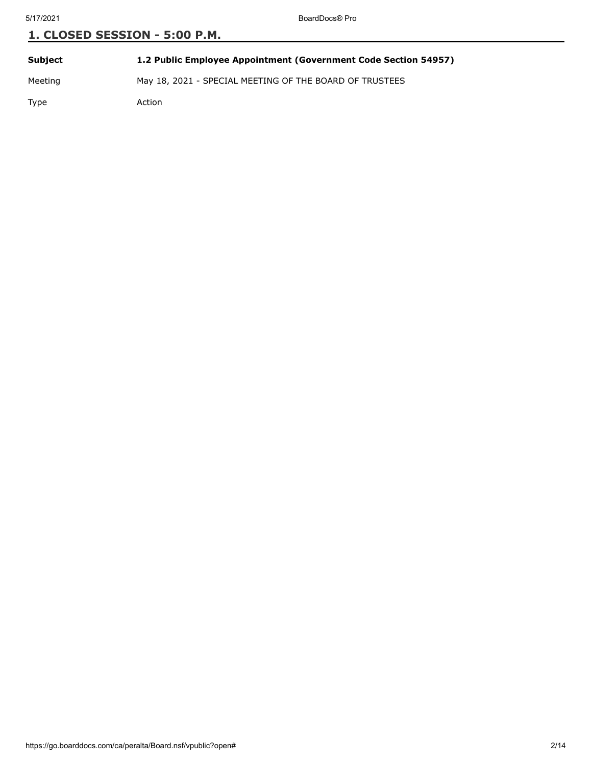| <b>Subject</b> | 1.2 Public Employee Appointment (Government Code Section 54957) |
|----------------|-----------------------------------------------------------------|
| Meeting        | May 18, 2021 - SPECIAL MEETING OF THE BOARD OF TRUSTEES         |
| Type           | Action                                                          |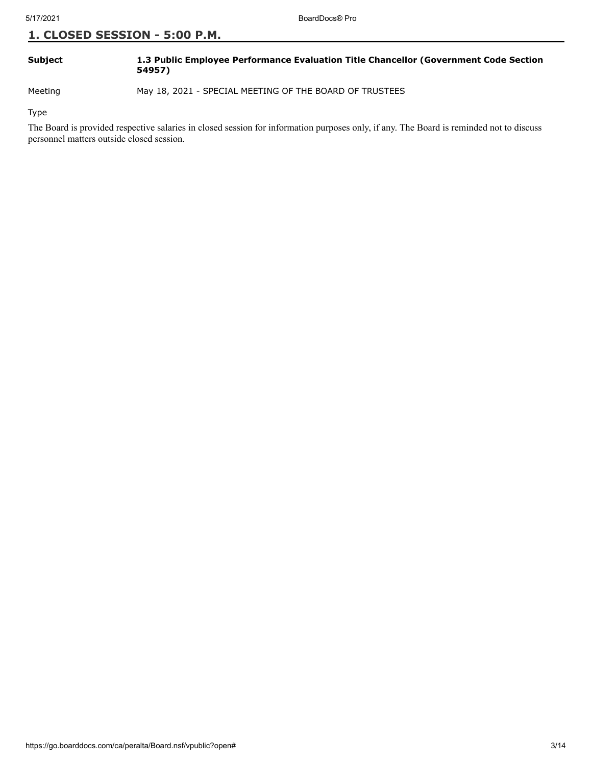| Subject | 1.3 Public Employee Performance Evaluation Title Chancellor (Government Code Section |
|---------|--------------------------------------------------------------------------------------|
|         | 54957)                                                                               |

Meeting May 18, 2021 - SPECIAL MEETING OF THE BOARD OF TRUSTEES

Type

The Board is provided respective salaries in closed session for information purposes only, if any. The Board is reminded not to discuss personnel matters outside closed session.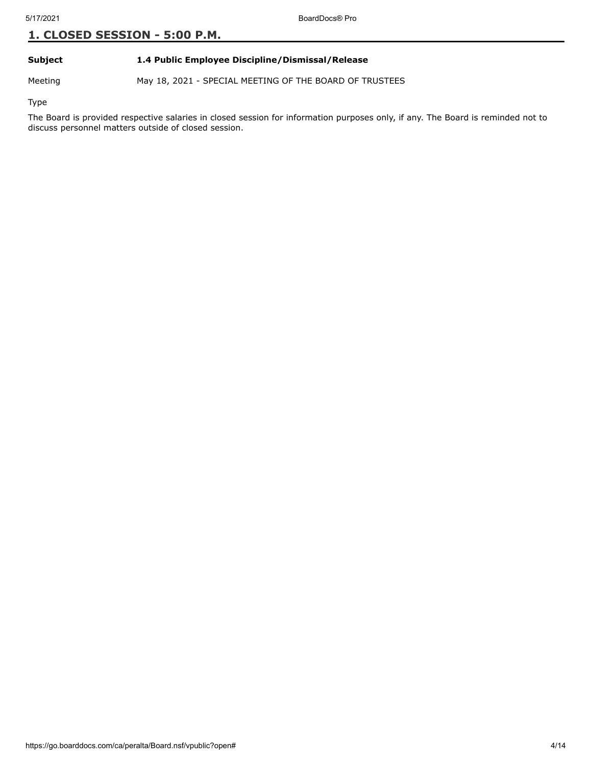**Subject 1.4 Public Employee Discipline/Dismissal/Release**

Meeting May 18, 2021 - SPECIAL MEETING OF THE BOARD OF TRUSTEES

Type

The Board is provided respective salaries in closed session for information purposes only, if any. The Board is reminded not to discuss personnel matters outside of closed session.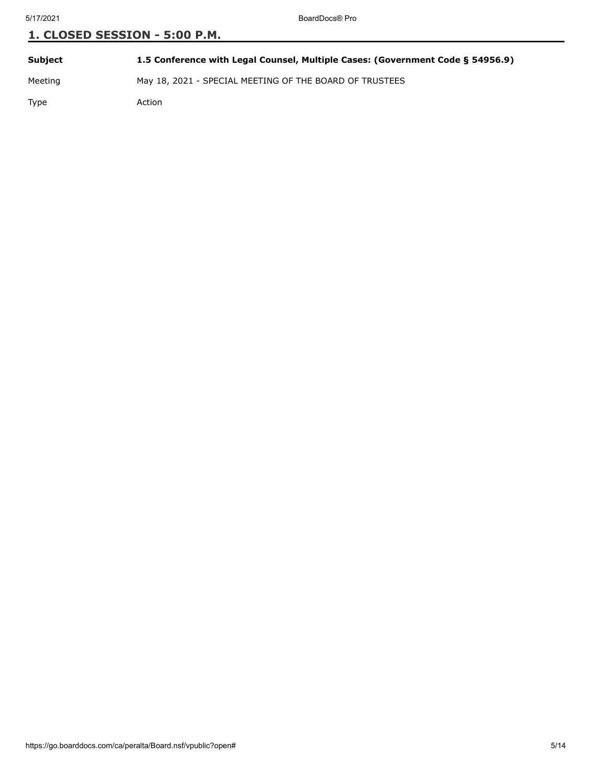**Subject 1.5 Conference with Legal Counsel, Multiple Cases: (Government Code § 54956.9)**

Meeting May 18, 2021 - SPECIAL MEETING OF THE BOARD OF TRUSTEES

Type Action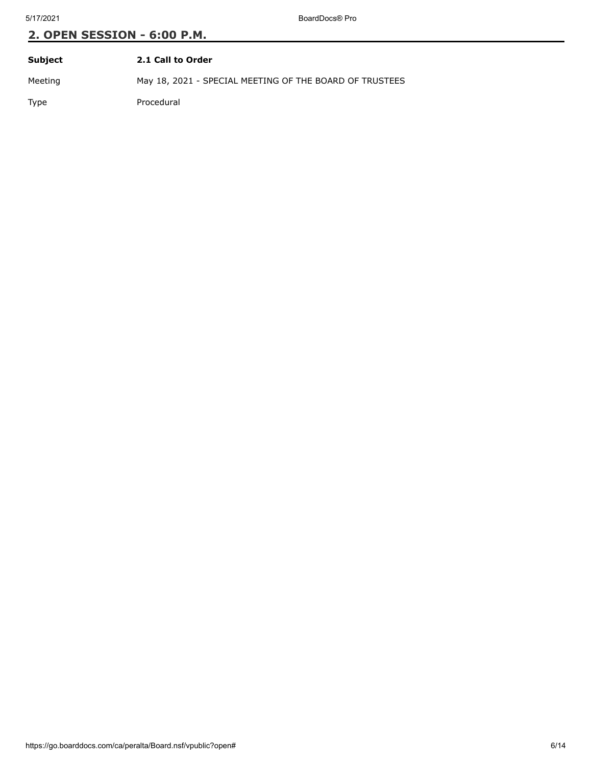| Subject     | 2.1 Call to Order                                       |
|-------------|---------------------------------------------------------|
| Meeting     | May 18, 2021 - SPECIAL MEETING OF THE BOARD OF TRUSTEES |
| <b>Type</b> | Procedural                                              |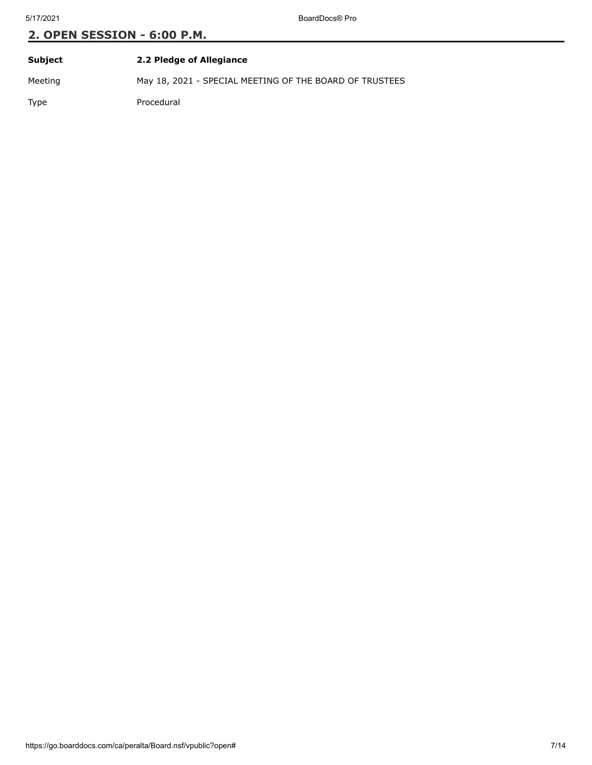| Subject | 2.2 Pledge of Allegiance                                |
|---------|---------------------------------------------------------|
| Meeting | May 18, 2021 - SPECIAL MEETING OF THE BOARD OF TRUSTEES |
| Type    | Procedural                                              |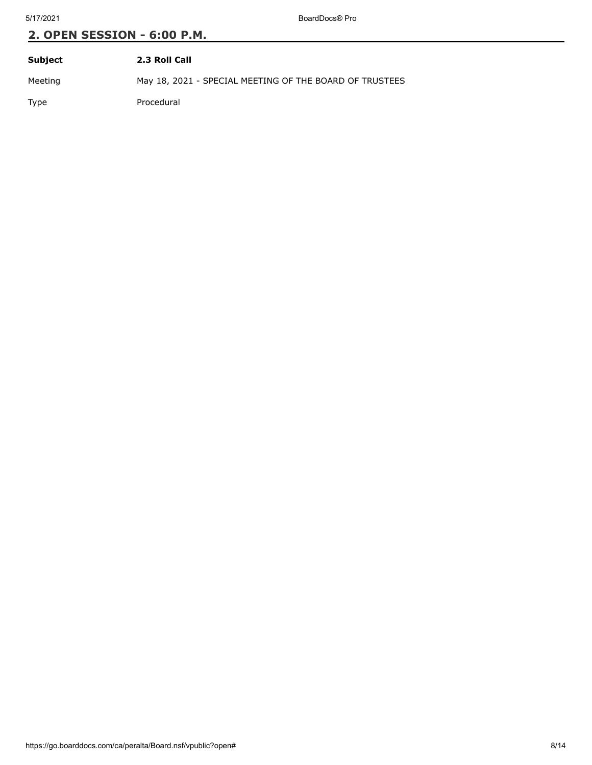| Subject | 2.3 Roll Call                                           |
|---------|---------------------------------------------------------|
| Meeting | May 18, 2021 - SPECIAL MEETING OF THE BOARD OF TRUSTEES |
| Type    | Procedural                                              |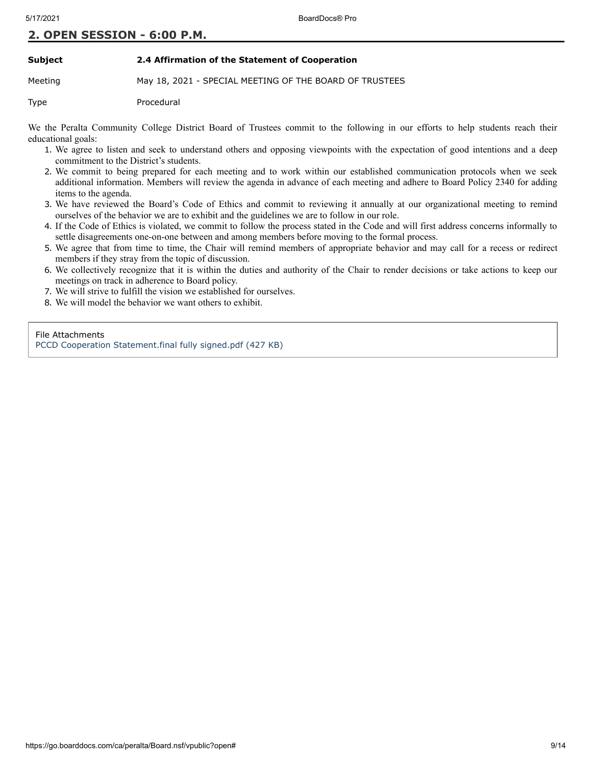#### **Subject 2.4 Affirmation of the Statement of Cooperation**

Meeting May 18, 2021 - SPECIAL MEETING OF THE BOARD OF TRUSTEES

Type Procedural

We the Peralta Community College District Board of Trustees commit to the following in our efforts to help students reach their educational goals:

- 1. We agree to listen and seek to understand others and opposing viewpoints with the expectation of good intentions and a deep commitment to the District's students.
- 2. We commit to being prepared for each meeting and to work within our established communication protocols when we seek additional information. Members will review the agenda in advance of each meeting and adhere to Board Policy 2340 for adding items to the agenda.
- 3. We have reviewed the Board's Code of Ethics and commit to reviewing it annually at our organizational meeting to remind ourselves of the behavior we are to exhibit and the guidelines we are to follow in our role.
- 4. If the Code of Ethics is violated, we commit to follow the process stated in the Code and will first address concerns informally to settle disagreements one-on-one between and among members before moving to the formal process.
- 5. We agree that from time to time, the Chair will remind members of appropriate behavior and may call for a recess or redirect members if they stray from the topic of discussion.
- 6. We collectively recognize that it is within the duties and authority of the Chair to render decisions or take actions to keep our meetings on track in adherence to Board policy.
- 7. We will strive to fulfill the vision we established for ourselves.
- 8. We will model the behavior we want others to exhibit.

File Attachments [PCCD Cooperation Statement.final fully signed.pdf \(427 KB\)](https://go.boarddocs.com/ca/peralta/Board.nsf/files/C34VBS7FF7E2/$file/PCCD%20Cooperation%20Statement.final%20fully%20signed.pdf)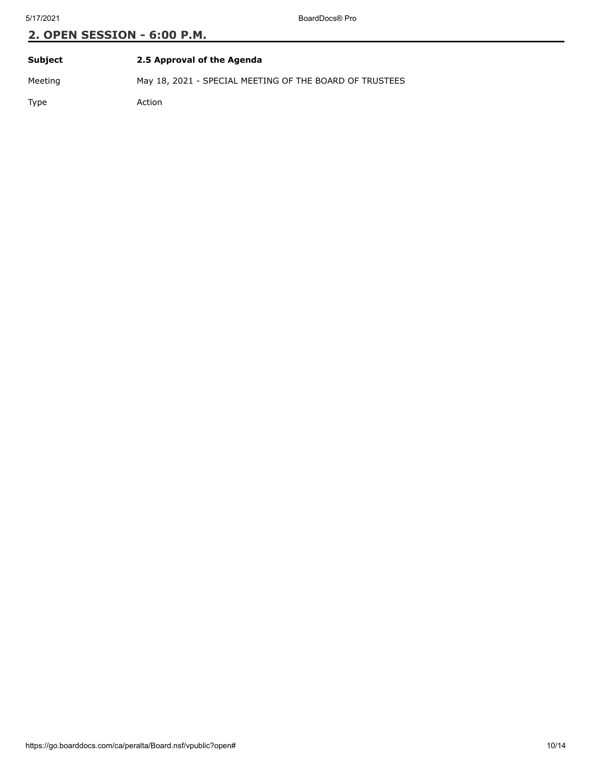| Subject     | 2.5 Approval of the Agenda                              |
|-------------|---------------------------------------------------------|
| Meeting     | May 18, 2021 - SPECIAL MEETING OF THE BOARD OF TRUSTEES |
| <b>Type</b> | Action                                                  |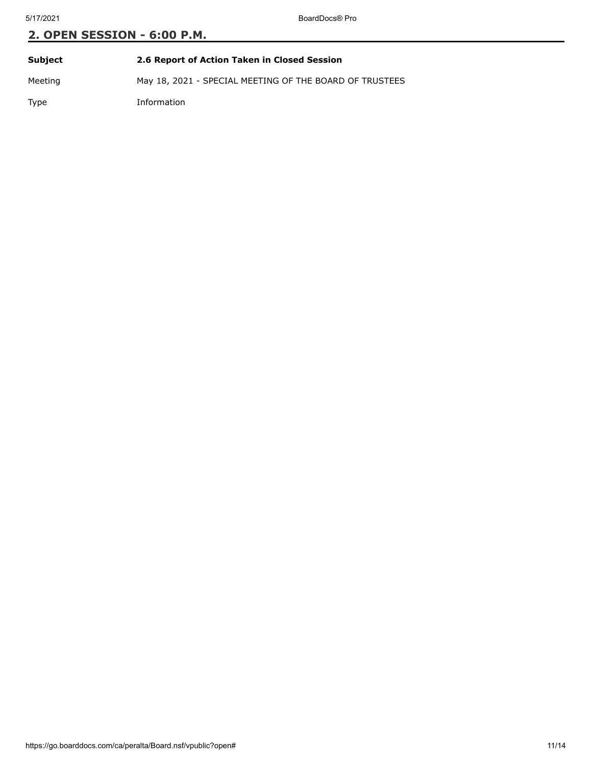| Subject     | 2.6 Report of Action Taken in Closed Session            |
|-------------|---------------------------------------------------------|
| Meeting     | May 18, 2021 - SPECIAL MEETING OF THE BOARD OF TRUSTEES |
| <b>Type</b> | Information                                             |

https://go.boarddocs.com/ca/peralta/Board.nsf/vpublic?open# 11/14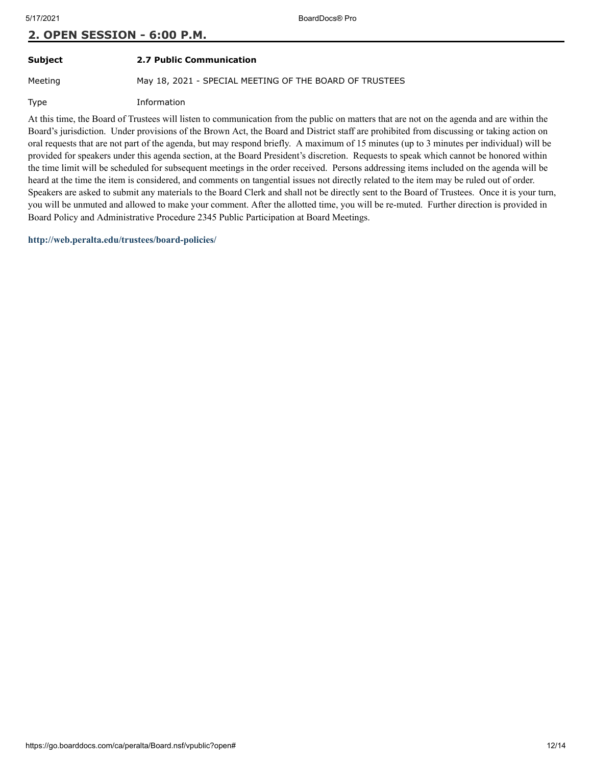**Subject 2.7 Public Communication**

Meeting May 18, 2021 - SPECIAL MEETING OF THE BOARD OF TRUSTEES

Type Information

At this time, the Board of Trustees will listen to communication from the public on matters that are not on the agenda and are within the Board's jurisdiction. Under provisions of the Brown Act, the Board and District staff are prohibited from discussing or taking action on oral requests that are not part of the agenda, but may respond briefly. A maximum of 15 minutes (up to 3 minutes per individual) will be provided for speakers under this agenda section, at the Board President's discretion. Requests to speak which cannot be honored within the time limit will be scheduled for subsequent meetings in the order received. Persons addressing items included on the agenda will be heard at the time the item is considered, and comments on tangential issues not directly related to the item may be ruled out of order. Speakers are asked to submit any materials to the Board Clerk and shall not be directly sent to the Board of Trustees. Once it is your turn, you will be unmuted and allowed to make your comment. After the allotted time, you will be re-muted. Further direction is provided in Board Policy and Administrative Procedure 2345 Public Participation at Board Meetings.

**<http://web.peralta.edu/trustees/board-policies/>**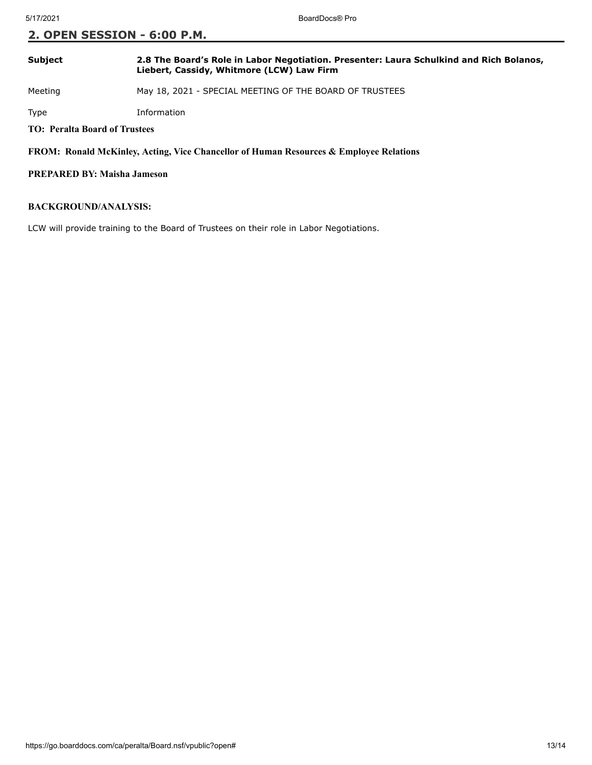### **Subject 2.8 The Board's Role in Labor Negotiation. Presenter: Laura Schulkind and Rich Bolanos, Liebert, Cassidy, Whitmore (LCW) Law Firm**

Meeting May 18, 2021 - SPECIAL MEETING OF THE BOARD OF TRUSTEES

Type Information

**TO: Peralta Board of Trustees**

**FROM: Ronald McKinley, Acting, Vice Chancellor of Human Resources & Employee Relations**

#### **PREPARED BY: Maisha Jameson**

#### **BACKGROUND/ANALYSIS:**

LCW will provide training to the Board of Trustees on their role in Labor Negotiations.